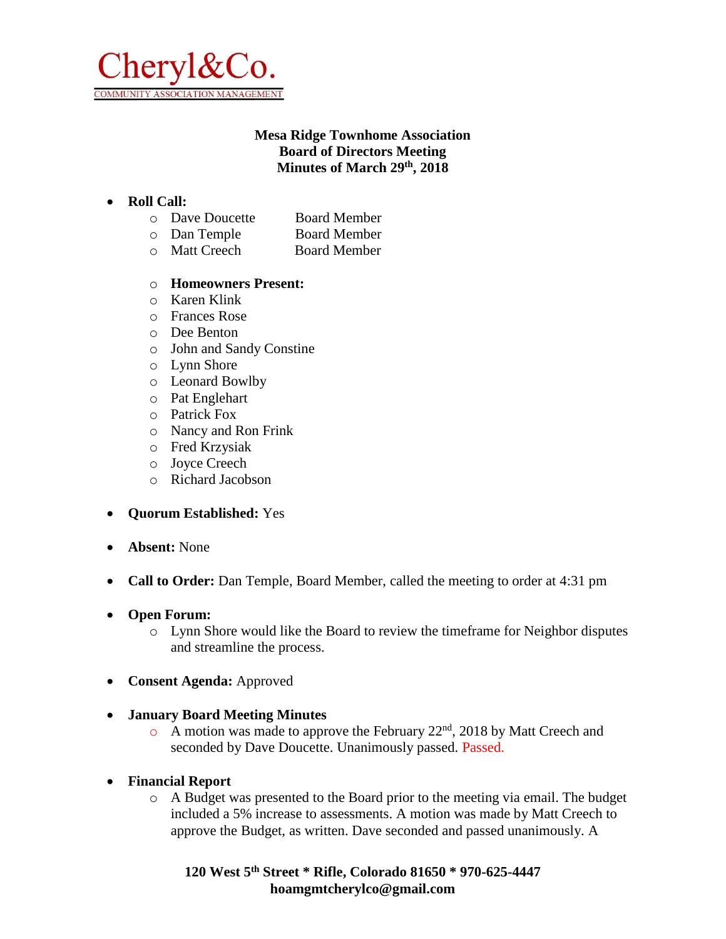

# **Mesa Ridge Townhome Association Board of Directors Meeting Minutes of March 29th, 2018**

### • **Roll Call:**

- o Dave Doucette Board Member
- o Dan Temple Board Member
- o Matt Creech Board Member

#### o **Homeowners Present:**

- o Karen Klink
- o Frances Rose
- o Dee Benton
- o John and Sandy Constine
- o Lynn Shore
- o Leonard Bowlby
- o Pat Englehart
- o Patrick Fox
- o Nancy and Ron Frink
- o Fred Krzysiak
- o Joyce Creech
- o Richard Jacobson
- **Quorum Established:** Yes
- **Absent:** None
- **Call to Order:** Dan Temple, Board Member, called the meeting to order at 4:31 pm
- **Open Forum:**
	- o Lynn Shore would like the Board to review the timeframe for Neighbor disputes and streamline the process.
- **Consent Agenda:** Approved
- **January Board Meeting Minutes**
	- $\circ$  A motion was made to approve the February 22<sup>nd</sup>, 2018 by Matt Creech and seconded by Dave Doucette. Unanimously passed. Passed.
- **Financial Report**
	- o A Budget was presented to the Board prior to the meeting via email. The budget included a 5% increase to assessments. A motion was made by Matt Creech to approve the Budget, as written. Dave seconded and passed unanimously. A

**120 West 5th Street \* Rifle, Colorado 81650 \* 970-625-4447 hoamgmtcherylco@gmail.com**